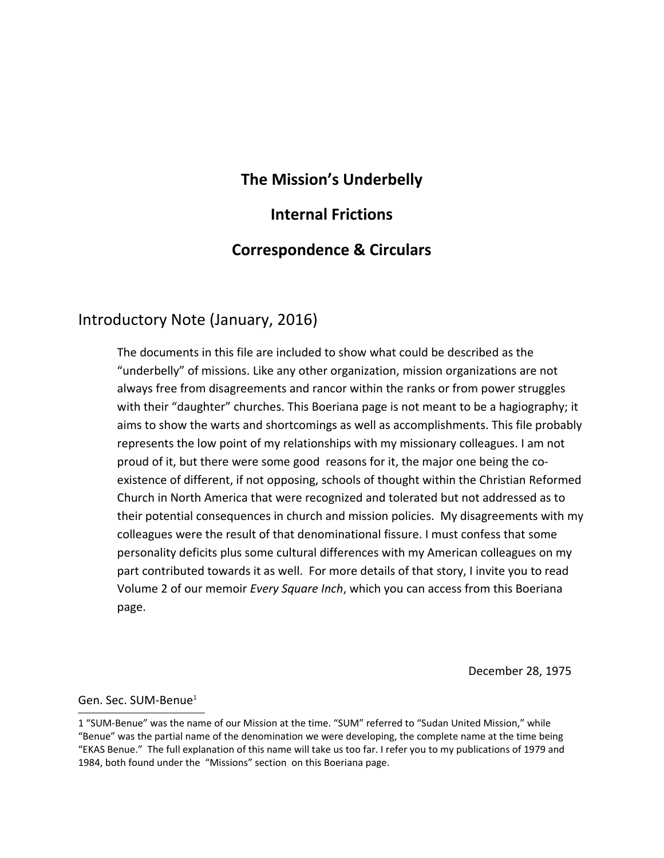# **The Mission's Underbelly**

# **Internal Frictions**

# **Correspondence & Circulars**

# Introductory Note (January, 2016)

The documents in this file are included to show what could be described as the "underbelly" of missions. Like any other organization, mission organizations are not always free from disagreements and rancor within the ranks or from power struggles with their "daughter" churches. This Boeriana page is not meant to be a hagiography; it aims to show the warts and shortcomings as well as accomplishments. This file probably represents the low point of my relationships with my missionary colleagues. I am not proud of it, but there were some good reasons for it, the major one being the coexistence of different, if not opposing, schools of thought within the Christian Reformed Church in North America that were recognized and tolerated but not addressed as to their potential consequences in church and mission policies. My disagreements with my colleagues were the result of that denominational fissure. I must confess that some personality deficits plus some cultural differences with my American colleagues on my part contributed towards it as well. For more details of that story, I invite you to read Volume 2 of our memoir *Every Square Inch*, which you can access from this Boeriana page.

December 28, 1975

Gen. Sec. SUM-Benue<sup>[1](#page-0-0)</sup>

<span id="page-0-0"></span><sup>1 &</sup>quot;SUM-Benue" was the name of our Mission at the time. "SUM" referred to "Sudan United Mission," while "Benue" was the partial name of the denomination we were developing, the complete name at the time being "EKAS Benue." The full explanation of this name will take us too far. I refer you to my publications of 1979 and 1984, both found under the "Missions" section on this Boeriana page.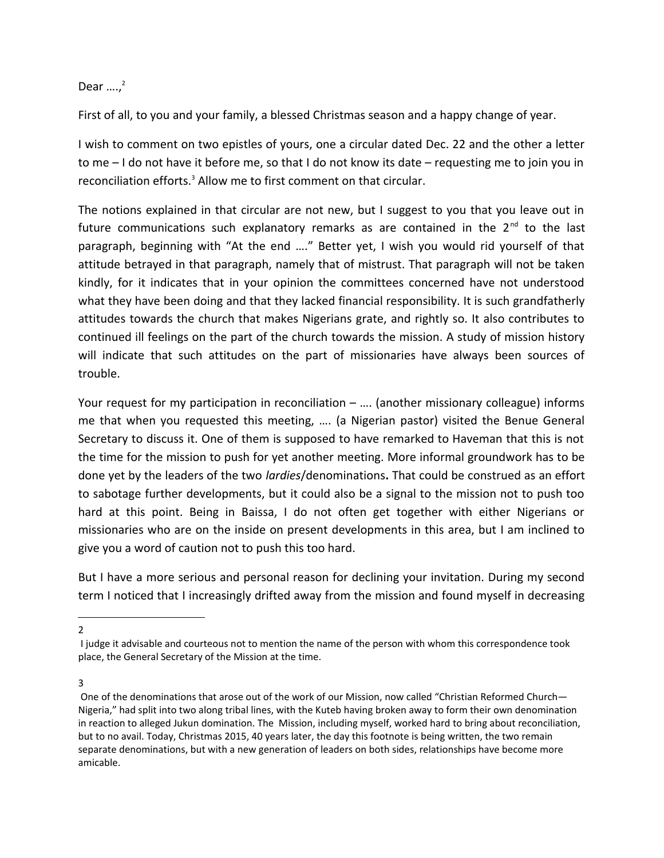Dear  $...,^2$  $...,^2$ 

First of all, to you and your family, a blessed Christmas season and a happy change of year.

I wish to comment on two epistles of yours, one a circular dated Dec. 22 and the other a letter to me – I do not have it before me, so that I do not know its date – requesting me to join you in reconciliation efforts.<sup>[3](#page-1-1)</sup> Allow me to first comment on that circular.

The notions explained in that circular are not new, but I suggest to you that you leave out in future communications such explanatory remarks as are contained in the  $2^{nd}$  to the last paragraph, beginning with "At the end …." Better yet, I wish you would rid yourself of that attitude betrayed in that paragraph, namely that of mistrust. That paragraph will not be taken kindly, for it indicates that in your opinion the committees concerned have not understood what they have been doing and that they lacked financial responsibility. It is such grandfatherly attitudes towards the church that makes Nigerians grate, and rightly so. It also contributes to continued ill feelings on the part of the church towards the mission. A study of mission history will indicate that such attitudes on the part of missionaries have always been sources of trouble.

Your request for my participation in reconciliation – .... (another missionary colleague) informs me that when you requested this meeting, …. (a Nigerian pastor) visited the Benue General Secretary to discuss it. One of them is supposed to have remarked to Haveman that this is not the time for the mission to push for yet another meeting. More informal groundwork has to be done yet by the leaders of the two *lardies*/denominations**.** That could be construed as an effort to sabotage further developments, but it could also be a signal to the mission not to push too hard at this point. Being in Baissa, I do not often get together with either Nigerians or missionaries who are on the inside on present developments in this area, but I am inclined to give you a word of caution not to push this too hard.

But I have a more serious and personal reason for declining your invitation. During my second term I noticed that I increasingly drifted away from the mission and found myself in decreasing

<span id="page-1-0"></span>2

<span id="page-1-1"></span>3

I judge it advisable and courteous not to mention the name of the person with whom this correspondence took place, the General Secretary of the Mission at the time.

One of the denominations that arose out of the work of our Mission, now called "Christian Reformed Church— Nigeria," had split into two along tribal lines, with the Kuteb having broken away to form their own denomination in reaction to alleged Jukun domination. The Mission, including myself, worked hard to bring about reconciliation, but to no avail. Today, Christmas 2015, 40 years later, the day this footnote is being written, the two remain separate denominations, but with a new generation of leaders on both sides, relationships have become more amicable.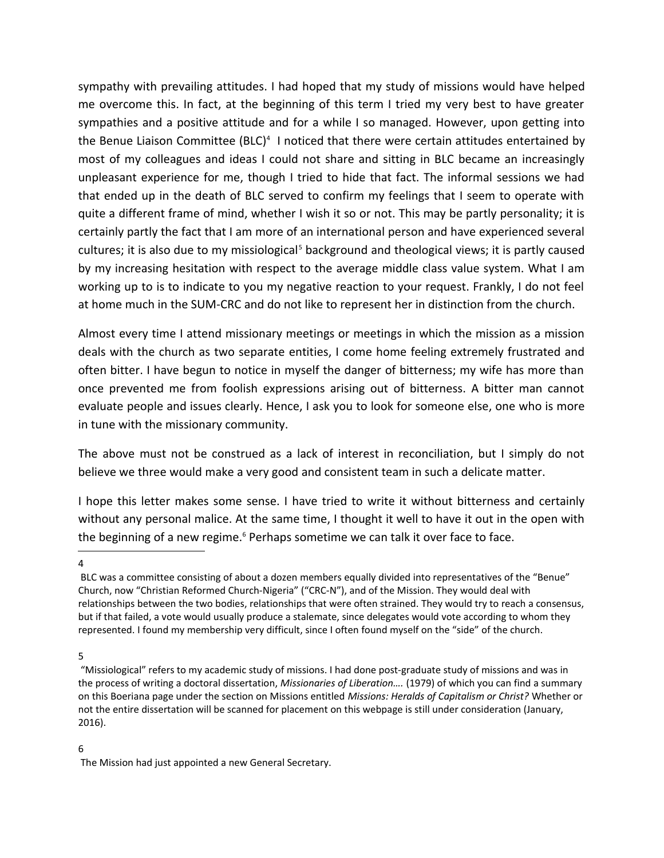sympathy with prevailing attitudes. I had hoped that my study of missions would have helped me overcome this. In fact, at the beginning of this term I tried my very best to have greater sympathies and a positive attitude and for a while I so managed. However, upon getting into the Benue Liaison Committee (BLC)<sup>[4](#page-2-0)</sup> I noticed that there were certain attitudes entertained by most of my colleagues and ideas I could not share and sitting in BLC became an increasingly unpleasant experience for me, though I tried to hide that fact. The informal sessions we had that ended up in the death of BLC served to confirm my feelings that I seem to operate with quite a different frame of mind, whether I wish it so or not. This may be partly personality; it is certainly partly the fact that I am more of an international person and have experienced several cultures; it is also due to my missiological<sup>[5](#page-2-1)</sup> background and theological views; it is partly caused by my increasing hesitation with respect to the average middle class value system. What I am working up to is to indicate to you my negative reaction to your request. Frankly, I do not feel at home much in the SUM-CRC and do not like to represent her in distinction from the church.

Almost every time I attend missionary meetings or meetings in which the mission as a mission deals with the church as two separate entities, I come home feeling extremely frustrated and often bitter. I have begun to notice in myself the danger of bitterness; my wife has more than once prevented me from foolish expressions arising out of bitterness. A bitter man cannot evaluate people and issues clearly. Hence, I ask you to look for someone else, one who is more in tune with the missionary community.

The above must not be construed as a lack of interest in reconciliation, but I simply do not believe we three would make a very good and consistent team in such a delicate matter.

I hope this letter makes some sense. I have tried to write it without bitterness and certainly without any personal malice. At the same time, I thought it well to have it out in the open with the beginning of a new regime.<sup>[6](#page-2-2)</sup> Perhaps sometime we can talk it over face to face.

<span id="page-2-0"></span>4

<span id="page-2-1"></span>5

### <span id="page-2-2"></span>6

BLC was a committee consisting of about a dozen members equally divided into representatives of the "Benue" Church, now "Christian Reformed Church-Nigeria" ("CRC-N"), and of the Mission. They would deal with relationships between the two bodies, relationships that were often strained. They would try to reach a consensus, but if that failed, a vote would usually produce a stalemate, since delegates would vote according to whom they represented. I found my membership very difficult, since I often found myself on the "side" of the church.

 <sup>&</sup>quot;Missiological" refers to my academic study of missions. I had done post-graduate study of missions and was in the process of writing a doctoral dissertation, *Missionaries of Liberation….* (1979) of which you can find a summary on this Boeriana page under the section on Missions entitled *Missions: Heralds of Capitalism or Christ?* Whether or not the entire dissertation will be scanned for placement on this webpage is still under consideration (January, 2016).

The Mission had just appointed a new General Secretary.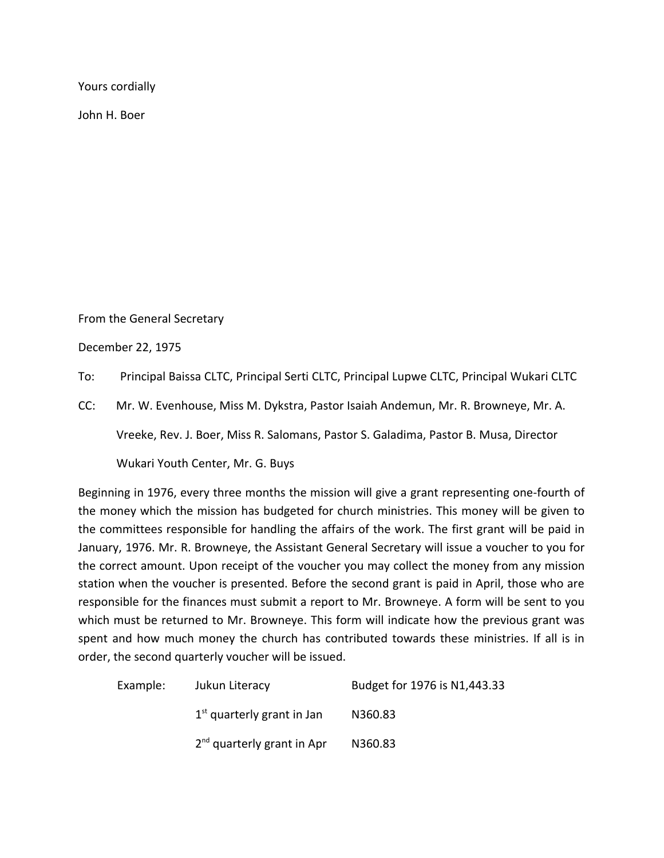Yours cordially

John H. Boer

From the General Secretary

December 22, 1975

To: Principal Baissa CLTC, Principal Serti CLTC, Principal Lupwe CLTC, Principal Wukari CLTC

CC: Mr. W. Evenhouse, Miss M. Dykstra, Pastor Isaiah Andemun, Mr. R. Browneye, Mr. A.

Vreeke, Rev. J. Boer, Miss R. Salomans, Pastor S. Galadima, Pastor B. Musa, Director

Wukari Youth Center, Mr. G. Buys

Beginning in 1976, every three months the mission will give a grant representing one-fourth of the money which the mission has budgeted for church ministries. This money will be given to the committees responsible for handling the affairs of the work. The first grant will be paid in January, 1976. Mr. R. Browneye, the Assistant General Secretary will issue a voucher to you for the correct amount. Upon receipt of the voucher you may collect the money from any mission station when the voucher is presented. Before the second grant is paid in April, those who are responsible for the finances must submit a report to Mr. Browneye. A form will be sent to you which must be returned to Mr. Browneye. This form will indicate how the previous grant was spent and how much money the church has contributed towards these ministries. If all is in order, the second quarterly voucher will be issued.

| Example: | Jukun Literacy               | Budget for 1976 is N1,443.33 |
|----------|------------------------------|------------------------------|
|          | $1st$ quarterly grant in Jan | N360.83                      |
|          | $2nd$ quarterly grant in Apr | N360.83                      |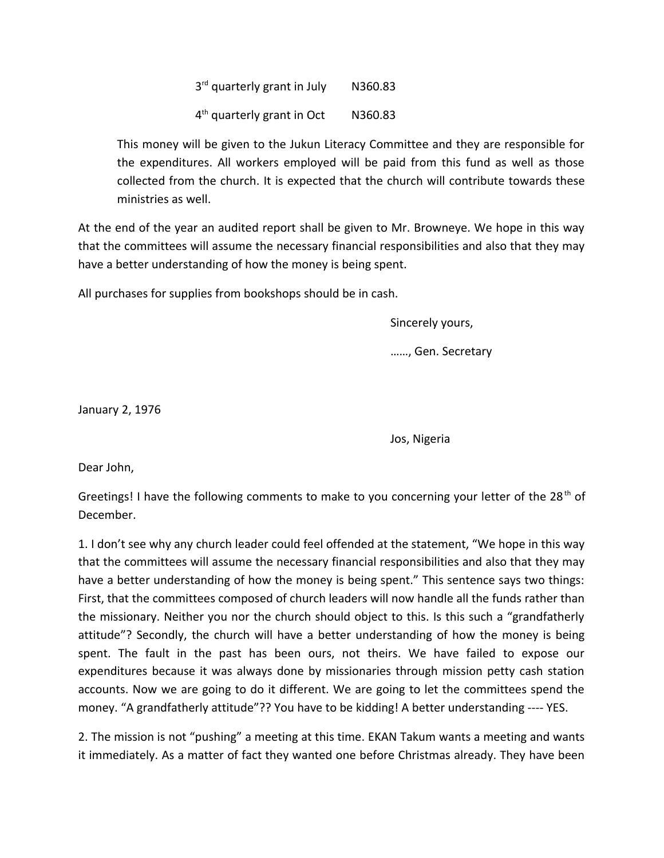3<sup>rd</sup> quarterly grant in July N360.83 4 th quarterly grant in Oct N360.83

This money will be given to the Jukun Literacy Committee and they are responsible for the expenditures. All workers employed will be paid from this fund as well as those collected from the church. It is expected that the church will contribute towards these ministries as well.

At the end of the year an audited report shall be given to Mr. Browneye. We hope in this way that the committees will assume the necessary financial responsibilities and also that they may have a better understanding of how the money is being spent.

All purchases for supplies from bookshops should be in cash.

Sincerely yours,

……, Gen. Secretary

January 2, 1976

Jos, Nigeria

Dear John,

Greetings! I have the following comments to make to you concerning your letter of the 28<sup>th</sup> of December.

1. I don't see why any church leader could feel offended at the statement, "We hope in this way that the committees will assume the necessary financial responsibilities and also that they may have a better understanding of how the money is being spent." This sentence says two things: First, that the committees composed of church leaders will now handle all the funds rather than the missionary. Neither you nor the church should object to this. Is this such a "grandfatherly attitude"? Secondly, the church will have a better understanding of how the money is being spent. The fault in the past has been ours, not theirs. We have failed to expose our expenditures because it was always done by missionaries through mission petty cash station accounts. Now we are going to do it different. We are going to let the committees spend the money. "A grandfatherly attitude"?? You have to be kidding! A better understanding ---- YES.

2. The mission is not "pushing" a meeting at this time. EKAN Takum wants a meeting and wants it immediately. As a matter of fact they wanted one before Christmas already. They have been